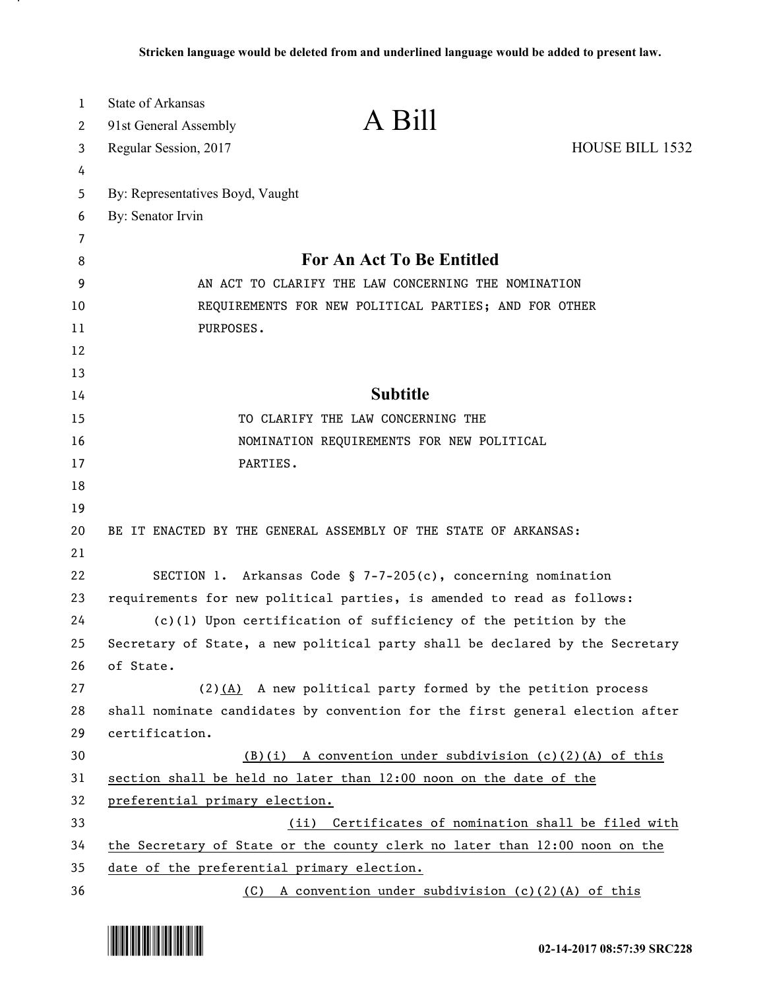| $\mathbf{1}$<br>2 | State of Arkansas<br>91st General Assembly                                 | A Bill                                                                       |                 |
|-------------------|----------------------------------------------------------------------------|------------------------------------------------------------------------------|-----------------|
| 3                 | Regular Session, 2017                                                      |                                                                              | HOUSE BILL 1532 |
| 4                 |                                                                            |                                                                              |                 |
| 5                 | By: Representatives Boyd, Vaught                                           |                                                                              |                 |
| 6                 | By: Senator Irvin                                                          |                                                                              |                 |
| 7                 |                                                                            |                                                                              |                 |
| 8                 | For An Act To Be Entitled                                                  |                                                                              |                 |
| 9                 | AN ACT TO CLARIFY THE LAW CONCERNING THE NOMINATION                        |                                                                              |                 |
| 10                | REQUIREMENTS FOR NEW POLITICAL PARTIES; AND FOR OTHER                      |                                                                              |                 |
| 11                | PURPOSES.                                                                  |                                                                              |                 |
| 12                |                                                                            |                                                                              |                 |
| 13                |                                                                            |                                                                              |                 |
| 14                | <b>Subtitle</b>                                                            |                                                                              |                 |
| 15                | TO CLARIFY THE LAW CONCERNING THE                                          |                                                                              |                 |
| 16                | NOMINATION REQUIREMENTS FOR NEW POLITICAL                                  |                                                                              |                 |
| 17                | PARTIES.                                                                   |                                                                              |                 |
| 18                |                                                                            |                                                                              |                 |
| 19                |                                                                            |                                                                              |                 |
| 20                |                                                                            | BE IT ENACTED BY THE GENERAL ASSEMBLY OF THE STATE OF ARKANSAS:              |                 |
| 21                |                                                                            |                                                                              |                 |
| 22                |                                                                            | SECTION 1. Arkansas Code § 7-7-205(c), concerning nomination                 |                 |
| 23                | requirements for new political parties, is amended to read as follows:     |                                                                              |                 |
| 24                |                                                                            | $(c)(1)$ Upon certification of sufficiency of the petition by the            |                 |
| 25                |                                                                            | Secretary of State, a new political party shall be declared by the Secretary |                 |
| 26                | of State.                                                                  |                                                                              |                 |
| 27                |                                                                            | $(2)$ (A) A new political party formed by the petition process               |                 |
| 28                |                                                                            | shall nominate candidates by convention for the first general election after |                 |
| 29                | certification.                                                             |                                                                              |                 |
| 30                |                                                                            | $(B)(i)$ A convention under subdivision $(c)(2)(A)$ of this                  |                 |
| 31                | section shall be held no later than 12:00 noon on the date of the          |                                                                              |                 |
| 32                | preferential primary election.                                             |                                                                              |                 |
| 33                |                                                                            | (ii) Certificates of nomination shall be filed with                          |                 |
| 34                | the Secretary of State or the county clerk no later than 12:00 noon on the |                                                                              |                 |
| 35                | date of the preferential primary election.                                 |                                                                              |                 |
| 36                |                                                                            | (C) A convention under subdivision (c)(2)(A) of this                         |                 |



.